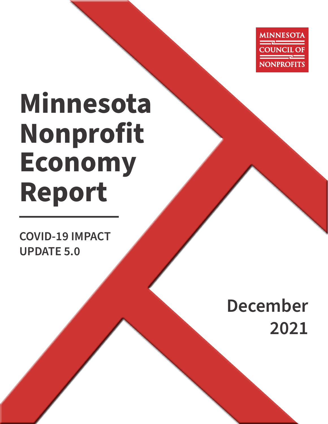

# **Minnesota Nonprofit Economy Report**

**COVID-19 IMPACT UPDATE 5.0**

## **December 2021**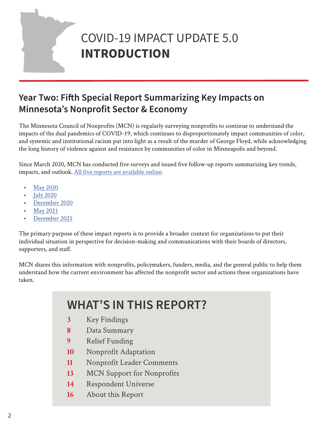## COVID-19 IMPACT UPDATE 5.0 **INTRODUCTION**

## **Year Two: Fifth Special Report Summarizing Key Impacts on Minnesota's Nonprofit Sector & Economy**

The Minnesota Council of Nonprofits (MCN) is regularly surveying nonprofits to continue to understand the impacts of the dual pandemics of COVID-19, which continues to disproportionately impact communities of color, and systemic and institutional racism put into light as a result of the murder of George Floyd, while acknowledging the long history of violence against and resistance by communities of color in Minneapolis and beyond.

Since March 2020, MCN has conducted five surveys and issued five follow-up reports summarizing key trends, impacts, and outlook. [All five reports are available online.](https://www.minnesotanonprofits.org/covid-19-what-nonprofits-should-know)

- [May 2020](https://www.minnesotanonprofits.org/docs/default-source/publications/minnesota-nonprofit-economy-reports/2020-covid--19-mner.pdf?sfvrsn=48899c56_10)
- [July 2020](https://www.minnesotanonprofits.org/docs/default-source/coronavirus/2020-mner-covid---version-2-0.pdf?sfvrsn=ba408590_4)
- [December 2020](https://www.minnesotanonprofits.org/docs/default-source/coronavirus/2020-mner-covid---version-3-0.pdf?sfvrsn=8b5b5828_2)
- [May 2021](https://www.minnesotanonprofits.org/covid-19-what-nonprofits-should-know)
- [December 2021](https://www.minnesotanonprofits.org/docs/default-source/coronavirus/2021-mn-nonprofit-economy-report---december-2021.pdf)

The primary purpose of these impact reports is to provide a broader context for organizations to put their individual situation in perspective for decision-making and communications with their boards of directors, supporters, and staff.

MCN shares this information with nonprofits, policymakers, funders, media, and the general public to help them understand how the current environment has affected the nonprofit sector and actions these organizations have taken.

## **WHAT'S IN THIS REPORT?**

- **3** [Key Findings](#page-2-0)
- **8** [Data Summary](#page-7-0)
- **9** [Relief Funding](#page-8-0)
- **10** [Nonprofit Adaptation](#page-9-0)
- **11** [Nonprofit Leader Comments](#page-10-0)
- **13** [MCN Support for Nonprofits](#page-12-0)
- **14** [Respondent Universe](#page-13-0)
- **16** [About this Report](#page-15-0)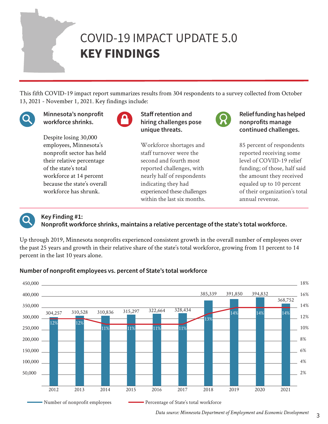## <span id="page-2-0"></span>COVID-19 IMPACT UPDATE 5.0 **KEY FINDINGS**

This fifth COVID-19 impact report summarizes results from 304 respondents to a survey collected from October 13, 2021 - November 1, 2021. Key findings include:



Minnesota's nonprofit workforce shrinks.

Despite losing 30,000 employees, Minnesota's nonprofit sector has held their relative percentage of the state's total workforce at 14 percent because the state's overall workforce has shrunk.



Staff retention and hiring challenges pose unique threats.

Workforce shortages and staff turnover were the second and fourth most reported challenges, with nearly half of respondents indicating they had experienced these challenges within the last six months.

Relief funding has helped nonprofits manage continued challenges.

85 percent of respondents reported receiving some level of COVID-19 relief funding; of those, half said the amount they received equaled up to 10 percent of their organization's total annual revenue.



## Key Finding #1:

Nonprofit workforce shrinks, maintains a relative percentage of the state's total workforce.

Up through 2019, Minnesota nonprofits experienced consistent growth in the overall number of employees over the past 25 years and growth in their relative share of the state's total workforce, growing from 11 percent to 14 percent in the last 10 years alone.



## Number of nonprofit employees vs. percent of State's total workforce

3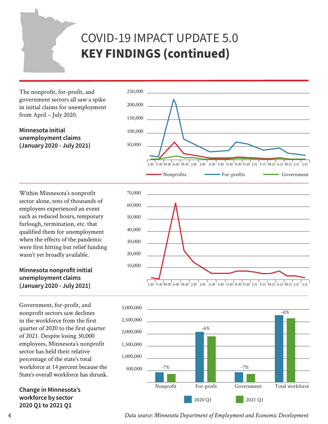The nonprofit, for-profit, and government sectors all saw a spike in initial claims for unemployment from April – July 2020.

### Minnesota initial unemployment claims (January 2020 - July 2021)



Within Minnesota's nonprofit sector alone, tens of thousands of employees experienced an event such as reduced hours, temporary furlough, termination, etc. that qualified them for unemployment when the effects of the pandemic were first hitting but relief funding wasn't yet broadly available.

## Minnesota nonprofit initial unemployment claims (January 2020 - July 2021)

Government, for-profit, and nonprofit sectors saw declines in the workforce from the first quarter of 2020 to the first quarter of 2021. Despite losing 30,000 employees, Minnesota's nonprofit sector has held their relative percentage of the state's total workforce at 14 percent because the State's overall workforce has shrunk.

Change in Minnesota's workforce by sector 2020 Q1 to 2021 Q1





*Data source: Minnesota Department of Employment and Economic Development*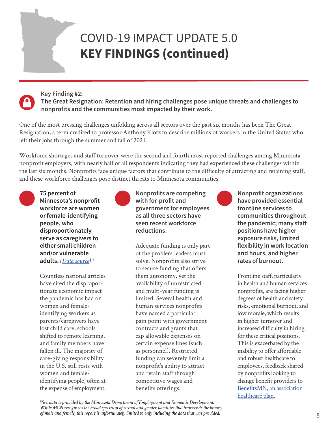## **Key Finding #2:**

 **The Great Resignation: Retention and hiring challenges pose unique threats and challenges to nonprofits and the communities most impacted by their work.**

One of the most pressing challenges unfolding across all sectors over the past six months has been The Great Resignation, a term credited to professor Anthony Klotz to describe millions of workers in the United States who left their jobs through the summer and fall of 2021.

Workforce shortages and staff turnover were the second and fourth most reported challenges among Minnesota nonprofit employers, with nearly half of all respondents indicating they had experienced these challenges within the last six months. Nonprofits face unique factors that contribute to the difficulty of attracting and retaining staff, and these workforce challenges pose distinct threats to Minnesota communities:



75 percent of Minnesota's nonprofit workforce are women or female-identifying people, who disproportionately serve as caregivers to either small children and/or vulnerable adults. *[\(Data source](https://www.minnesotanonprofits.org/docs/default-source/publications/minnesota-nonprofit-economy-reports/2019_nper.pdf)) \**

Countless national articles have cited the disproportionate economic impact the pandemic has had on women and femaleidentifying workers as parents/caregivers have lost child care, schools shifted to remote learning, and family members have fallen ill. The majority of care-giving responsibility in the U.S. still rests with women and femaleidentifying people, often at the expense of employment.



### Nonprofits are competing with for-profit and government for employees as all three sectors have seen recent workforce reductions.

Adequate funding is only part of the problem leaders must solve. Nonprofits also strive to secure funding that offers them autonomy, yet the availability of unrestricted and multi-year funding is limited. Several health and human services nonprofits have named a particular pain point with government contracts and grants that cap allowable expenses on certain expense lines (such as personnel). Restricted funding can severely limit a nonprofit's ability to attract and retain staff through competitive wages and benefits offerings.



Nonprofit organizations have provided essential frontline services to communities throughout the pandemic; many staff positions have higher exposure risks, limited flexibility in work location and hours, and higher rates of burnout.

Frontline staff, particularly in health and human services nonprofits, are facing higher degrees of health and safety risks, emotional burnout, and low morale, which results in higher turnover and increased difficulty in hiring for these critical positions. This is exacerbated by the inability to offer affordable and robust healthcare to employees, feedback shared by nonprofits looking to change benefit providers to [BenefitsMN, an association](https://www.minnesotanonprofits.org/membership/association-health-plan)  [healthcare plan](https://www.minnesotanonprofits.org/membership/association-health-plan).

*\*Sex data is provided by the Minnesota Department of Employment and Economic Development. While MCN recognizes the broad spectrum of sexual and gender identities that transcends the binary of male and female, this report is unfortunately limited to only including the data that was provided.*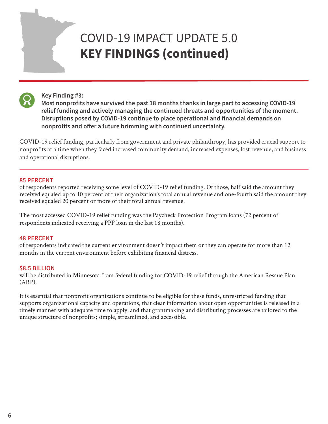

#### **Key Finding #3:**

 **Most nonprofits have survived the past 18 months thanks in large part to accessing COVID-19 relief funding and actively managing the continued threats and opportunities of the moment. Disruptions posed by COVID-19 continue to place operational and financial demands on nonprofits and offer a future brimming with continued uncertainty.**

COVID-19 relief funding, particularly from government and private philanthropy, has provided crucial support to nonprofits at a time when they faced increased community demand, increased expenses, lost revenue, and business and operational disruptions.

#### 85 PERCENT

of respondents reported receiving some level of COVID-19 relief funding. Of those, half said the amount they received equaled up to 10 percent of their organization's total annual revenue and one-fourth said the amount they received equaled 20 percent or more of their total annual revenue.

The most accessed COVID-19 relief funding was the Paycheck Protection Program loans (72 percent of respondents indicated receiving a PPP loan in the last 18 months).

#### 48 PERCENT

of respondents indicated the current environment doesn't impact them or they can operate for more than 12 months in the current environment before exhibiting financial distress.

#### \$8.5 BILLION

will be distributed in Minnesota from federal funding for COVID-19 relief through the American Rescue Plan (ARP).

It is essential that nonprofit organizations continue to be eligible for these funds, unrestricted funding that supports organizational capacity and operations, that clear information about open opportunities is released in a timely manner with adequate time to apply, and that grantmaking and distributing processes are tailored to the unique structure of nonprofits; simple, streamlined, and accessible.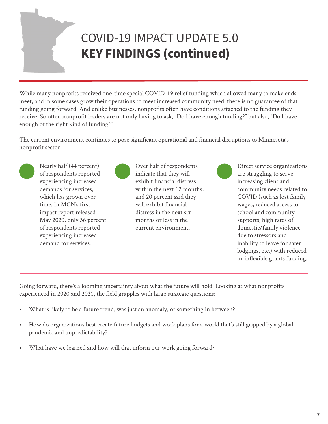While many nonprofits received one-time special COVID-19 relief funding which allowed many to make ends meet, and in some cases grow their operations to meet increased community need, there is no guarantee of that funding going forward. And unlike businesses, nonprofits often have conditions attached to the funding they receive. So often nonprofit leaders are not only having to ask, "Do I have enough funding?" but also, "Do I have enough of the right kind of funding?"

The current environment continues to pose significant operational and financial disruptions to Minnesota's nonprofit sector.



Nearly half (44 percent) of respondents reported experiencing increased demands for services, which has grown over time. In MCN's first impact report released May 2020, only 36 percent of respondents reported experiencing increased demand for services.

Over half of respondents indicate that they will exhibit financial distress within the next 12 months, and 20 percent said they will exhibit financial distress in the next six months or less in the current environment.

Direct service organizations are struggling to serve increasing client and community needs related to COVID (such as lost family wages, reduced access to school and community supports, high rates of domestic/family violence due to stressors and inability to leave for safer lodgings, etc.) with reduced or inflexible grants funding.

Going forward, there's a looming uncertainty about what the future will hold. Looking at what nonprofits experienced in 2020 and 2021, the field grapples with large strategic questions:

- What is likely to be a future trend, was just an anomaly, or something in between?
- How do organizations best create future budgets and work plans for a world that's still gripped by a global pandemic and unpredictability?
- What have we learned and how will that inform our work going forward?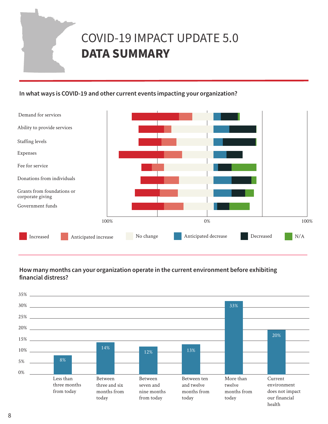## <span id="page-7-0"></span>COVID-19 IMPACT UPDATE 5.0 **DATA SUMMARY**

### In what ways is COVID-19 and other current events impacting your organization?



## How many months can your organization operate in the current environment before exhibiting financial distress?

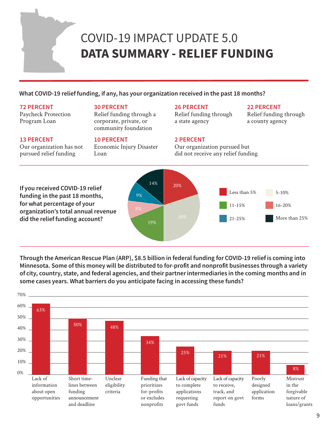## <span id="page-8-0"></span>COVID-19 IMPACT UPDATE 5.0 **DATA SUMMARY - RELIEF FUNDING**

### What COVID-19 relief funding, if any, has your organization received in the past 18 months?

#### 72 PERCENT

13 PERCENT

Paycheck Protection Program Loan

#### 30 PERCENT

Relief funding through a corporate, private, or community foundation

#### 10 PERCENT

Our organization has not pursued relief funding

Economic Injury Disaster Loan

#### 26 PERCENT

Relief funding through a state agency

#### 22 PERCENT

Relief funding through a county agency

#### 2 PERCENT

Our organization pursued but did not receive any relief funding



Through the American Rescue Plan (ARP), \$8.5 billion in federal funding for COVID-19 relief is coming into Minnesota. Some of this money will be distributed to for-profit and nonprofit businesses through a variety of city, country, state, and federal agencies, and their partner intermediaries in the coming months and in some cases years. What barriers do you anticipate facing in accessing these funds?

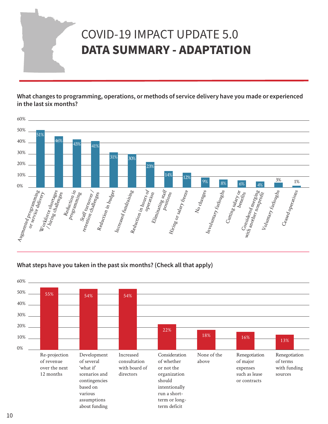## <span id="page-9-0"></span>COVID-19 IMPACT UPDATE 5.0 **DATA SUMMARY - ADAPTATION**

What changes to programming, operations, or methods of service delivery have you made or experienced in the last six months?



What steps have you taken in the past six months? (Check all that apply)

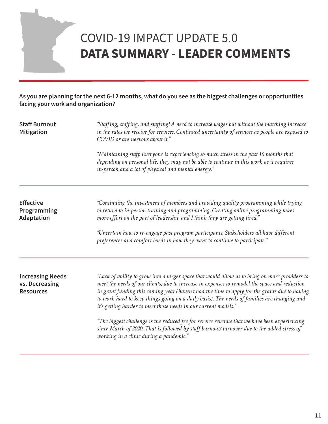## <span id="page-10-0"></span>COVID-19 IMPACT UPDATE 5.0 **DATA SUMMARY - LEADER COMMENTS**

As you are planning for the next 6-12 months, what do you see as the biggest challenges or opportunities facing your work and organization?

| <b>Staff Burnout</b><br><b>Mitigation</b>                     | "Staffing, staffing, and staffing! A need to increase wages but without the matching increase<br>in the rates we receive for services. Continued uncertainty of services as people are exposed to<br>COVID or are nervous about it."                                                                                                                                                                                                                               |  |
|---------------------------------------------------------------|--------------------------------------------------------------------------------------------------------------------------------------------------------------------------------------------------------------------------------------------------------------------------------------------------------------------------------------------------------------------------------------------------------------------------------------------------------------------|--|
|                                                               | "Maintaining staff. Everyone is experiencing so much stress in the past 16 months that<br>depending on personal life, they may not be able to continue in this work as it requires<br>in-person and a lot of physical and mental energy."                                                                                                                                                                                                                          |  |
| <b>Effective</b><br>Programming<br>Adaptation                 | "Continuing the investment of members and providing quality programming while trying<br>to return to in-person training and programming. Creating online programming takes<br>more effort on the part of leadership and I think they are getting tired."                                                                                                                                                                                                           |  |
|                                                               | "Uncertain how to re-engage past program participants. Stakeholders all have different<br>preferences and comfort levels in how they want to continue to participate."                                                                                                                                                                                                                                                                                             |  |
| <b>Increasing Needs</b><br>vs. Decreasing<br><b>Resources</b> | "Lack of ability to grow into a larger space that would allow us to bring on more providers to<br>meet the needs of our clients, due to increase in expenses to remodel the space and reduction<br>in grant funding this coming year (haven't had the time to apply for the grants due to having<br>to work hard to keep things going on a daily basis). The needs of families are changing and<br>it's getting harder to meet those needs in our current models." |  |
|                                                               | "The biggest challenge is the reduced fee for service revenue that we have been experiencing<br>since March of 2020. That is followed by staff burnout/turnover due to the added stress of<br>working in a clinic during a pandemic."                                                                                                                                                                                                                              |  |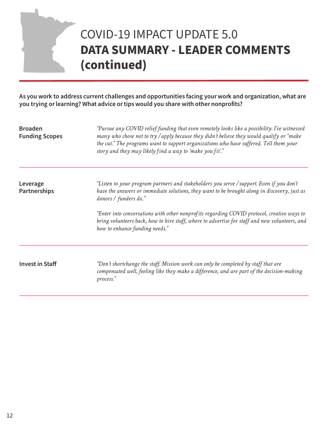## COVID-19 IMPACT UPDATE 5.0 **DATA SUMMARY - LEADER COMMENTS (continued)**

As you work to address current challenges and opportunities facing your work and organization, what are you trying or learning? What advice or tips would you share with other nonprofits?

| <b>Broaden</b><br><b>Funding Scopes</b> | "Pursue any COVID relief funding that even remotely looks like a possibility. I've witnessed<br>many who chose not to try / apply because they didn't believe they would qualify or "make"<br>the cut." The programs want to support organizations who have suffered. Tell them your<br>story and they may likely find a way to 'make you fit'."                                                                                                    |  |
|-----------------------------------------|-----------------------------------------------------------------------------------------------------------------------------------------------------------------------------------------------------------------------------------------------------------------------------------------------------------------------------------------------------------------------------------------------------------------------------------------------------|--|
| Leverage<br><b>Partnerships</b>         | "Listen to your program partners and stakeholders you serve / support. Even if you don't<br>have the answers or immediate solutions, they want to be brought along in discovery, just as<br>donors / funders do."<br>"Enter into conversations with other nonprofits regarding COVID protocol, creative ways to<br>bring volunteers back, how to hire staff, where to advertise for staff and new volunteers, and<br>how to enhance funding needs." |  |
| <b>Invest in Staff</b>                  | "Don't shortchange the staff. Mission work can only be completed by staff that are<br>compensated well, feeling like they make a difference, and are part of the decision-making<br>process."                                                                                                                                                                                                                                                       |  |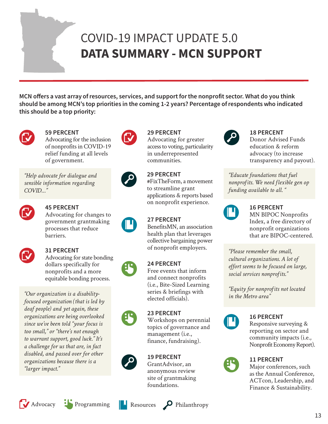## <span id="page-12-0"></span>COVID-19 IMPACT UPDATE 5.0 **DATA SUMMARY - MCN SUPPORT**

MCN offers a vast array of resources, services, and support for the nonprofit sector. What do you think should be among MCN's top priorities in the coming 1-2 years? Percentage of respondents who indicated this should be a top priority:

29 PERCENT

communities.

29 PERCENT

to streamline grant

Advocating for greater access to voting, particularity in underrepresented



## 59 PERCENT

Advocating for the inclusion of nonprofits in COVID-19 relief funding at all levels of government.

*"Help advocate for dialogue and sensible information regarding COVID…"*



## 45 PERCENT

Advocating for changes to government grantmaking processes that reduce barriers.



## 31 PERCENT

Advocating for state bonding dollars specifically for nonprofits and a more equitable bonding process.

*"Our organization is a disabilityfocused organization (that is led by deaf people) and yet again, these organizations are being overlooked since we've been told "your focus is too small," or "there's not enough to warrant support, good luck." It's a challenge for us that are, in fact disabled, and passed over for other organizations because there is a "larger impact."*







## 23 PERCENT

27 PERCENT

24 PERCENT

BenefitsMN, an association health plan that leverages collective bargaining power of nonprofit employers.

#FixTheForm, a movement

applications & reports based on nonprofit experience.

Free events that inform and connect nonprofits (i.e., Bite-Sized Learning series & briefings with elected officials).

Workshops on perennial topics of governance and management (i.e., finance, fundraising).

## 19 PERCENT

GrantAdvisor, an anonymous review site of grantmaking foundations.



#### 18 PERCENT

Donor Advised Funds education & reform advocacy (to increase transparency and payout).

*"Educate foundations that fuel nonprofits. We need flexible gen op funding available to all. "*



## 16 PERCENT

MN BIPOC Nonprofits Index, a free directory of nonprofit organizations that are BIPOC-centered.

*"Please remember the small, cultural organizations. A lot of effort seems to be focused on large, social services nonprofits."*

*"Equity for nonprofits not located in the Metro area"*



## 16 PERCENT

Responsive surveying & reporting on sector and community impacts (i.e., Nonprofit Economy Report).



#### 11 PERCENT Major conferences, such as the Annual Conference, ACTcon, Leadership, and Finance & Sustainability.





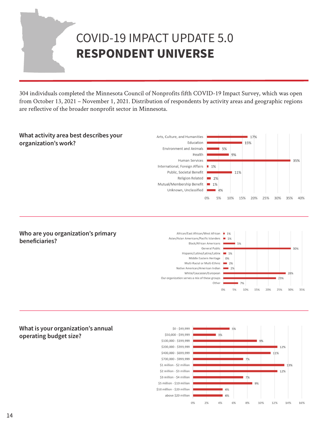## <span id="page-13-0"></span>COVID-19 IMPACT UPDATE 5.0 **RESPONDENT UNIVERSE**

304 individuals completed the Minnesota Council of Nonprofits fifth COVID-19 Impact Survey, which was open from October 13, 2021 – November 1, 2021. Distribution of respondents by activity areas and geographic regions are reflective of the broader nonprofit sector in Minnesota.



#### Who are you organization's primary beneficiaries?



#### What is your organization's annual operating budget size?

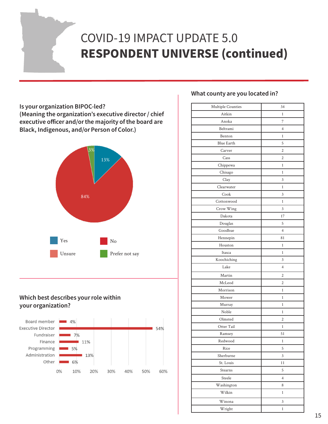## COVID-19 IMPACT UPDATE 5.0 **RESPONDENT UNIVERSE (continued)**

### Is your organization BIPOC-led? (Meaning the organization's executive director / chief executive officer and/or the majority of the board are Black, Indigenous, and/or Person of Color.)



## Which best describes your role within your organization?



## What county are you located in?

| Multiple Counties | 34             |
|-------------------|----------------|
| Aitkin            | $\mathbf{1}$   |
| Anoka             | 7              |
| Beltrami          | 4              |
| Benton            | $\mathbf{1}$   |
| <b>Blue Earth</b> | 5              |
| Carver            | $\overline{2}$ |
| Cass              | 2              |
| Chippewa          | $\mathbf{1}$   |
| Chisago           | 1              |
| Clay              | 3              |
| Clearwater        | $\mathbf{1}$   |
| Cook              | $\overline{3}$ |
| Cottonwood        | $\mathbf{1}$   |
| Crow Wing         | 3              |
| Dakota            | 17             |
| Douglas           | 5              |
| Goodhue           | $\overline{4}$ |
| Hennepin          | 81             |
| Houston           | $\mathbf{1}$   |
| Itasca            | $\mathbf{1}$   |
| Koochiching       | 3              |
| Lake              | $\overline{4}$ |
| Martin            | $\overline{2}$ |
| McLeod            | $\overline{2}$ |
| Morrison          | $\mathbf{1}$   |
| Mower             | $\mathbf{1}$   |
| Murray            | $\mathbf{1}$   |
| Noble             | 1              |
| Olmsted           | $\overline{2}$ |
| Otter Tail        | $\mathbf{1}$   |
| Ramsey            | 51             |
| Redwood           | $\mathbf{1}$   |
| Rice              | 5              |
| Sherburne         | $\overline{3}$ |
| St. Louis         | 11             |
| Stearns           | 5              |
| Steele            | $\overline{4}$ |
| Washington        | 8              |
| Wilkin            | $\,1$          |
| Winona            | 3              |
| Wright            | $\,1$          |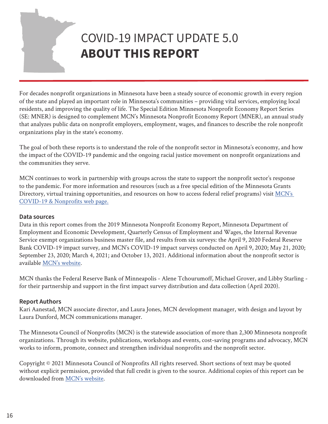## <span id="page-15-0"></span>COVID-19 IMPACT UPDATE 5.0 **ABOUT THIS REPORT**

For decades nonprofit organizations in Minnesota have been a steady source of economic growth in every region of the state and played an important role in Minnesota's communities – providing vital services, employing local residents, and improving the quality of life. The Special Edition Minnesota Nonprofit Economy Report Series (SE: MNER) is designed to complement MCN's Minnesota Nonprofit Economy Report (MNER), an annual study that analyzes public data on nonprofit employers, employment, wages, and finances to describe the role nonprofit organizations play in the state's economy.

The goal of both these reports is to understand the role of the nonprofit sector in Minnesota's economy, and how the impact of the COVID-19 pandemic and the ongoing racial justice movement on nonprofit organizations and the communities they serve.

MCN continues to work in partnership with groups across the state to support the nonprofit sector's response to the pandemic. For more information and resources (such as a free special edition of the Minnesota Grants Directory, virtual training opportunities, and resources on how to access federal relief programs) visit [MCN's](https://www.minnesotanonprofits.org/covid-19-what-nonprofits-should-know)  [COVID-19 & Nonprofits web page](https://www.minnesotanonprofits.org/covid-19-what-nonprofits-should-know).

#### **Data sources**

Data in this report comes from the 2019 Minnesota Nonprofit Economy Report, Minnesota Department of Employment and Economic Development, Quarterly Census of Employment and Wages, the Internal Revenue Service exempt organizations business master file, and results from six surveys: the April 9, 2020 Federal Reserve Bank COVID-19 impact survey, and MCN's COVID-19 impact surveys conducted on April 9, 2020; May 21, 2020; September 23, 2020; March 4, 2021; and October 13, 2021. Additional information about the nonprofit sector is available [MCN's website](https://www.minnesotanonprofits.org/).

MCN thanks the Federal Reserve Bank of Minneapolis - Alene Tchourumoff, Michael Grover, and Libby Starling for their partnership and support in the first impact survey distribution and data collection (April 2020).

#### **Report Authors**

Kari Aanestad, MCN associate director, and Laura Jones, MCN development manager, with design and layout by Laura Dunford, MCN communications manager.

The Minnesota Council of Nonprofits (MCN) is the statewide association of more than 2,300 Minnesota nonprofit organizations. Through its website, publications, workshops and events, cost-saving programs and advocacy, MCN works to inform, promote, connect and strengthen individual nonprofits and the nonprofit sector.

Copyright © 2021 Minnesota Council of Nonprofits All rights reserved. Short sections of text may be quoted without explicit permission, provided that full credit is given to the source. Additional copies of this report can be downloaded from [MCN's website](https://www.minnesotanonprofits.org/).